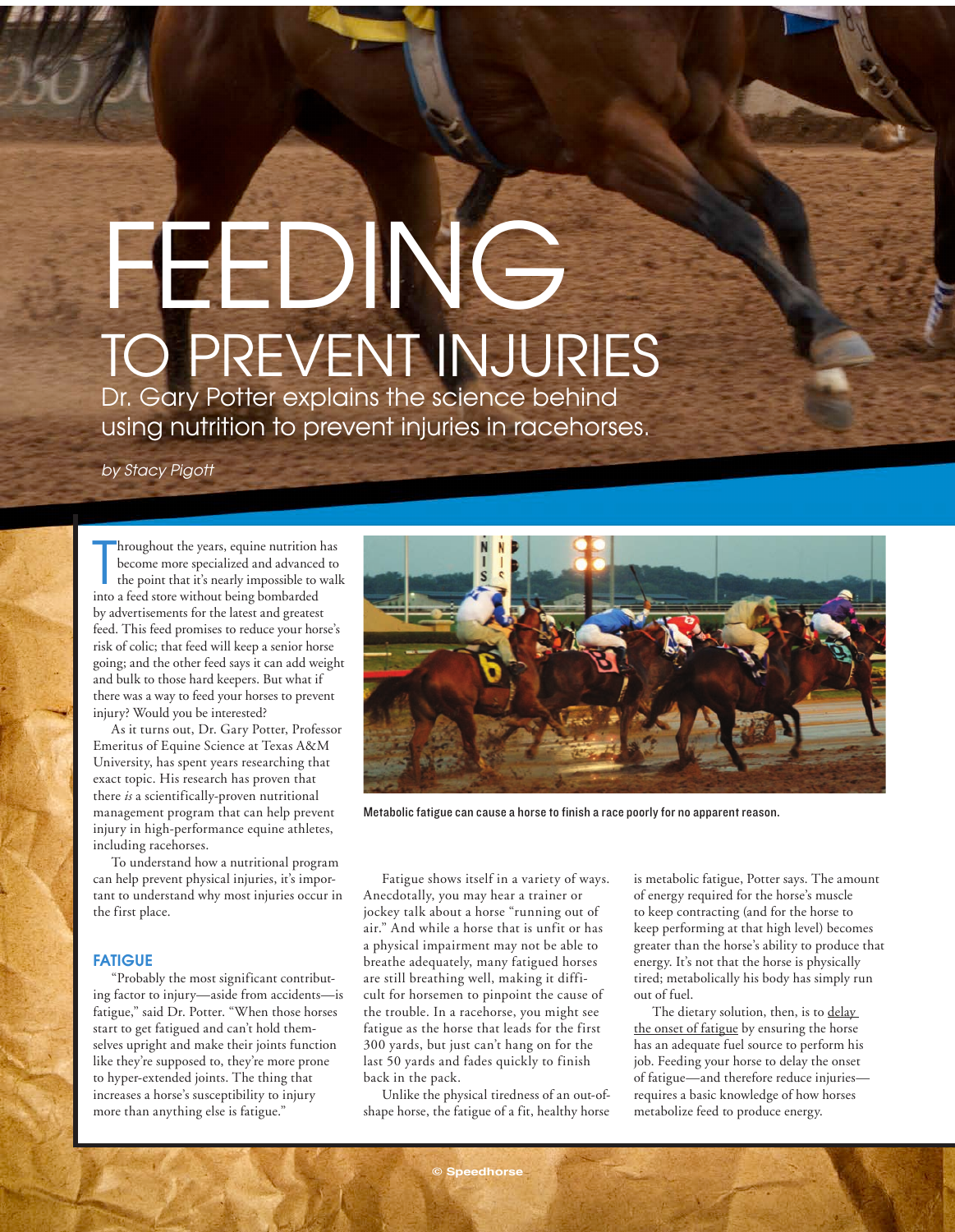# FEDING to Prevent Injuries Dr. Gary Potter explains the science behind

using nutrition to prevent injuries in racehorses.

*by Stacy Pigott*

hroughout the years, equine nutrition become more specialized and advanced<br>the point that it's nearly impossible to v<br>into a feed store without being bombarded hroughout the years, equine nutrition has become more specialized and advanced to the point that it's nearly impossible to walk by advertisements for the latest and greatest feed. This feed promises to reduce your horse's risk of colic; that feed will keep a senior horse going; and the other feed says it can add weight and bulk to those hard keepers. But what if there was a way to feed your horses to prevent injury? Would you be interested?

As it turns out, Dr. Gary Potter, Professor Emeritus of Equine Science at Texas A&M University, has spent years researching that exact topic. His research has proven that there *is* a scientifically-proven nutritional management program that can help prevent injury in high-performance equine athletes, including racehorses.

To understand how a nutritional program can help prevent physical injuries, it's important to understand why most injuries occur in the first place.

#### **FATIGUE**

"Probably the most significant contributing factor to injury—aside from accidents—is fatigue," said Dr. Potter. "When those horses start to get fatigued and can't hold themselves upright and make their joints function like they're supposed to, they're more prone to hyper-extended joints. The thing that increases a horse's susceptibility to injury more than anything else is fatigue."



Metabolic fatigue can cause a horse to finish a race poorly for no apparent reason.

Fatigue shows itself in a variety of ways. Anecdotally, you may hear a trainer or jockey talk about a horse "running out of air." And while a horse that is unfit or has a physical impairment may not be able to breathe adequately, many fatigued horses are still breathing well, making it difficult for horsemen to pinpoint the cause of the trouble. In a racehorse, you might see fatigue as the horse that leads for the first 300 yards, but just can't hang on for the last 50 yards and fades quickly to finish back in the pack.

Unlike the physical tiredness of an out-ofshape horse, the fatigue of a fit, healthy horse

is metabolic fatigue, Potter says. The amount of energy required for the horse's muscle to keep contracting (and for the horse to keep performing at that high level) becomes greater than the horse's ability to produce that energy. It's not that the horse is physically tired; metabolically his body has simply run out of fuel.

The dietary solution, then, is to delay the onset of fatigue by ensuring the horse has an adequate fuel source to perform his job. Feeding your horse to delay the onset of fatigue—and therefore reduce injuries requires a basic knowledge of how horses metabolize feed to produce energy.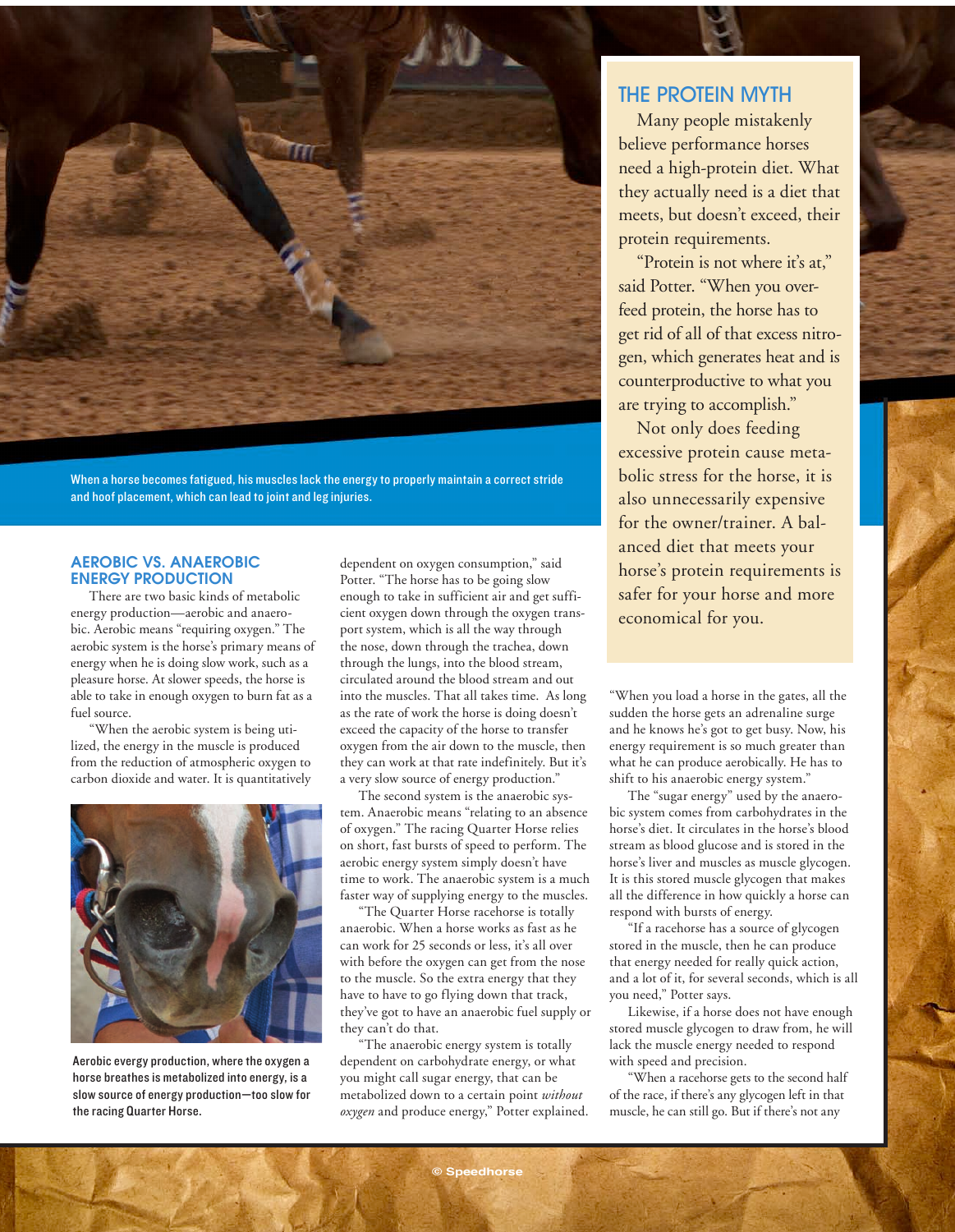

When a horse becomes fatigued, his muscles lack the energy to properly maintain a correct stride and hoof placement, which can lead to joint and leg injuries.

#### Aerobic vs. anaerobic energy production

There are two basic kinds of metabolic energy production—aerobic and anaerobic. Aerobic means "requiring oxygen." The aerobic system is the horse's primary means of energy when he is doing slow work, such as a pleasure horse. At slower speeds, the horse is able to take in enough oxygen to burn fat as a fuel source.

"When the aerobic system is being utilized, the energy in the muscle is produced from the reduction of atmospheric oxygen to carbon dioxide and water. It is quantitatively



Aerobic evergy production, where the oxygen a horse breathes is metabolized into energy, is a slow source of energy production—too slow for the racing Quarter Horse.

dependent on oxygen consumption," said Potter. "The horse has to be going slow enough to take in sufficient air and get sufficient oxygen down through the oxygen transport system, which is all the way through the nose, down through the trachea, down through the lungs, into the blood stream, circulated around the blood stream and out into the muscles. That all takes time. As long as the rate of work the horse is doing doesn't exceed the capacity of the horse to transfer oxygen from the air down to the muscle, then they can work at that rate indefinitely. But it's a very slow source of energy production."

The second system is the anaerobic system. Anaerobic means "relating to an absence of oxygen." The racing Quarter Horse relies on short, fast bursts of speed to perform. The aerobic energy system simply doesn't have time to work. The anaerobic system is a much faster way of supplying energy to the muscles.

"The Quarter Horse racehorse is totally anaerobic. When a horse works as fast as he can work for 25 seconds or less, it's all over with before the oxygen can get from the nose to the muscle. So the extra energy that they have to have to go flying down that track, they've got to have an anaerobic fuel supply or they can't do that.

"The anaerobic energy system is totally dependent on carbohydrate energy, or what you might call sugar energy, that can be metabolized down to a certain point *without oxygen* and produce energy," Potter explained.

## The Protein Myth

Many people mistakenly believe performance horses need a high-protein diet. What they actually need is a diet that meets, but doesn't exceed, their protein requirements.

"Protein is not where it's at," said Potter. "When you overfeed protein, the horse has to get rid of all of that excess nitrogen, which generates heat and is counterproductive to what you are trying to accomplish."

Not only does feeding excessive protein cause metabolic stress for the horse, it is also unnecessarily expensive for the owner/trainer. A balanced diet that meets your horse's protein requirements is safer for your horse and more economical for you.

"When you load a horse in the gates, all the sudden the horse gets an adrenaline surge and he knows he's got to get busy. Now, his energy requirement is so much greater than what he can produce aerobically. He has to shift to his anaerobic energy system."

The "sugar energy" used by the anaerobic system comes from carbohydrates in the horse's diet. It circulates in the horse's blood stream as blood glucose and is stored in the horse's liver and muscles as muscle glycogen. It is this stored muscle glycogen that makes all the difference in how quickly a horse can respond with bursts of energy.

"If a racehorse has a source of glycogen stored in the muscle, then he can produce that energy needed for really quick action, and a lot of it, for several seconds, which is all you need," Potter says.

Likewise, if a horse does not have enough stored muscle glycogen to draw from, he will lack the muscle energy needed to respond with speed and precision.

"When a racehorse gets to the second half of the race, if there's any glycogen left in that muscle, he can still go. But if there's not any